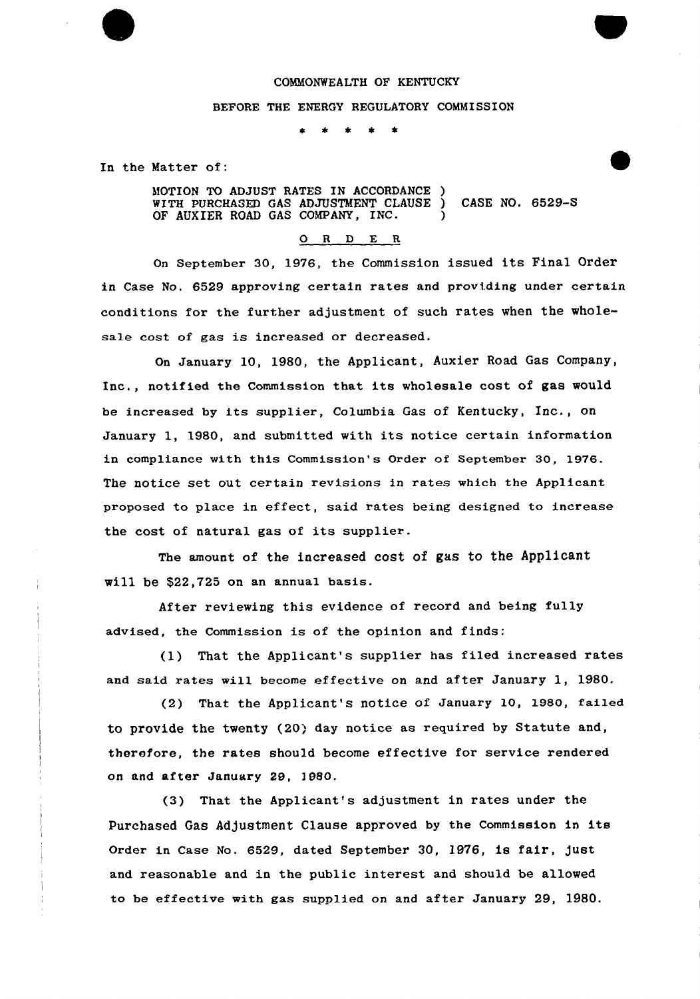## COMMONWEALTH OF KENTUCKY

## BEFORE THE ENERGY REGULATORY COMMISSION

In the Matter of:

MOTION TO ADJUST RATES IN ACCORDANCE ) WITH PURCHASED GAS ADJUSTMENT CLAUSE ) CASE NO. 6529-8 OF AUXIER ROAD GAS COMPANY, INC.

### 0 <sup>R</sup> <sup>D</sup> E <sup>R</sup>

On September 30, 1976, the Commission issued its Final Order in Case No. 6529 approving certain rates and providing under certain conditions for the further adjustment of such rates when the wholesale cost of gas is increased or decreased.

On January 10, 1980, the Applicant, Auxier Road Gas Company, Inc., notified the Commission that its wholesale cost of gas would be increased by its supplier, Columbia Gas of Kentucky, Inc., on January 1, 1980, and submitted with its notice certain information in compliance with this Commission's Order of September 30, 1976. The notice set out certain revisions in rates which the Applicant proposed to place in effect, said rates being designed to increase the cost of natural gas of its supplier.

The amount of the increased cost of gas to the Applicant will be \$22,725 on an annual basis.

After reviewing this evidence of record and being fully advised, the Commission is of the opinion and finds:

(1) That the Applicant's supplier has filed increased rates and said rates vill become effective on and after January 1, 1980.

(2) That the Applicant's notice of January 10, 1980, failed to provide the twenty (20) day notice as required by Statute and, therefore, the rates should become effective for service rendered on and after January 29, 1980.

(3) That the Applicant's adjustment in rates under the Purchased Gas Adjustment Clause approved by the Commission in its Order in Case No. 6529, dated September 30, 1976, is fair, just and reasonable and in the public interest and should be allowed to be effective with gas supplied on and after January 29, 1980.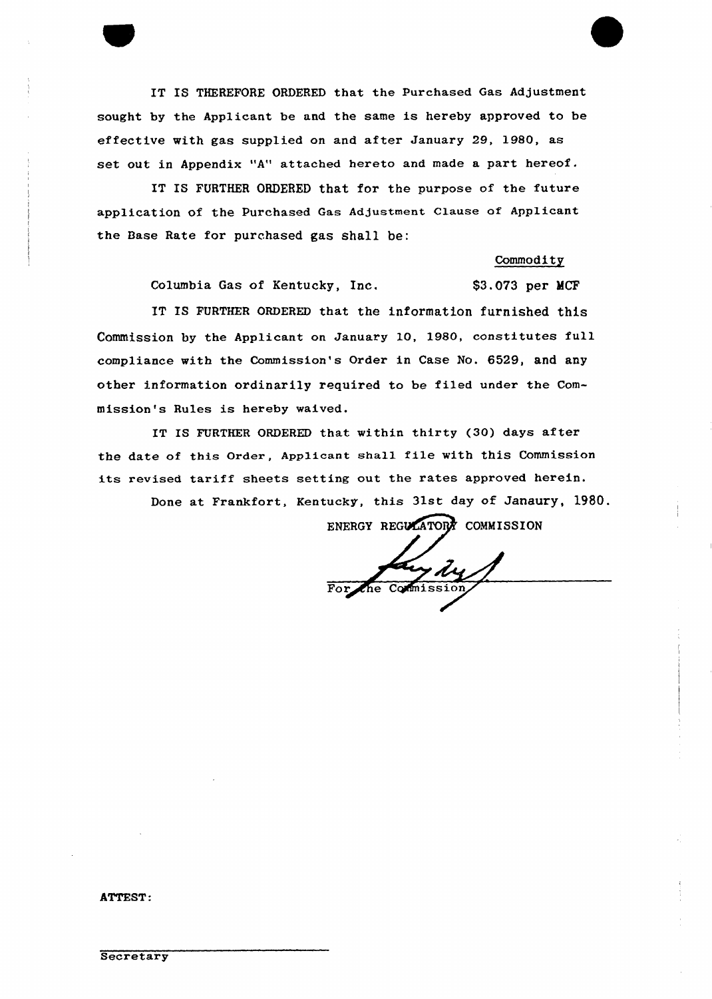IT IS THEREFORE ORDERED that the Purchased Gas Adjustment sought by the Applicant be and the same is hereby approved to be effective with gas supplied on and after January 29, 1980, as set out in Appendix "A" attached hereto and made a part hereof.

IT IS FURTHER ORDERED that for the purpose of the future application of the Purchased Gas Adjustment Clause of Applicant the Base Rate for purchased gas shall be:

#### Commodity

Columbia Gas of Kentucky, Inc. \$3.073 per MCF

IT IS FURTHER ORDERED that the information furnished this Commission by the Applicant on January 10, 1980, constitutes full compliance with the Commission's Order in Case No. 6529, and any other information ordinarily required to be filed under the Commission's Rules is hereby waived.

IT IS FURTHER ORDERED that within thirty (30) days after the date of this Ordex, Applicant shall file with this Commission its revised tariff sheets setting out the rates approved herein.

Done at Frankfort, Kentucky, this 31st day of Janaury, 1980.

ENERGY REGULATORY COMMISSION

Fair dy

ATTEST:

**Secretary**